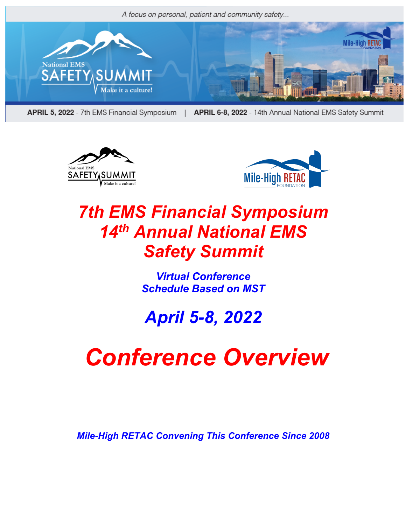

APRIL 5, 2022 - 7th EMS Financial Symposium

| APRIL 6-8, 2022 - 14th Annual National EMS Safety Summit





## *7th EMS Financial Symposium 14th Annual National EMS Safety Summit*

*Virtual Conference Schedule Based on MST*

## *April 5-8, 2022*

# *Conference Overview*

*Mile-High RETAC Convening This Conference Since 2008*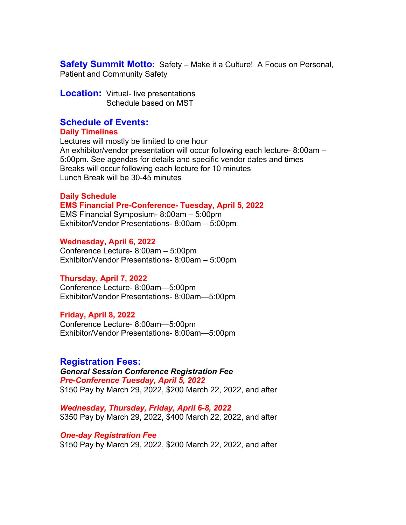**Safety Summit Motto:** Safety – Make it a Culture! A Focus on Personal, Patient and Community Safety

**Location:** Virtual- live presentations Schedule based on MST

### **Schedule of Events:**

#### **Daily Timelines**

Lectures will mostly be limited to one hour An exhibitor/vendor presentation will occur following each lecture- 8:00am – 5:00pm. See agendas for details and specific vendor dates and times Breaks will occur following each lecture for 10 minutes Lunch Break will be 30-45 minutes

#### **Daily Schedule**

#### **EMS Financial Pre-Conference- Tuesday, April 5, 2022**

EMS Financial Symposium- 8:00am – 5:00pm Exhibitor/Vendor Presentations- 8:00am – 5:00pm

#### **Wednesday, April 6, 2022**

Conference Lecture- 8:00am – 5:00pm Exhibitor/Vendor Presentations- 8:00am – 5:00pm

#### **Thursday, April 7, 2022**

Conference Lecture- 8:00am—5:00pm Exhibitor/Vendor Presentations- 8:00am—5:00pm

#### **Friday, April 8, 2022**

Conference Lecture- 8:00am—5:00pm Exhibitor/Vendor Presentations- 8:00am—5:00pm

#### **Registration Fees:**

*General Session Conference Registration Fee Pre-Conference Tuesday, April 5, 2022* \$150 Pay by March 29, 2022, \$200 March 22, 2022, and after

*Wednesday, Thursday, Friday, April 6-8, 2022* \$350 Pay by March 29, 2022, \$400 March 22, 2022, and after

*One-day Registration Fee* \$150 Pay by March 29, 2022, \$200 March 22, 2022, and after